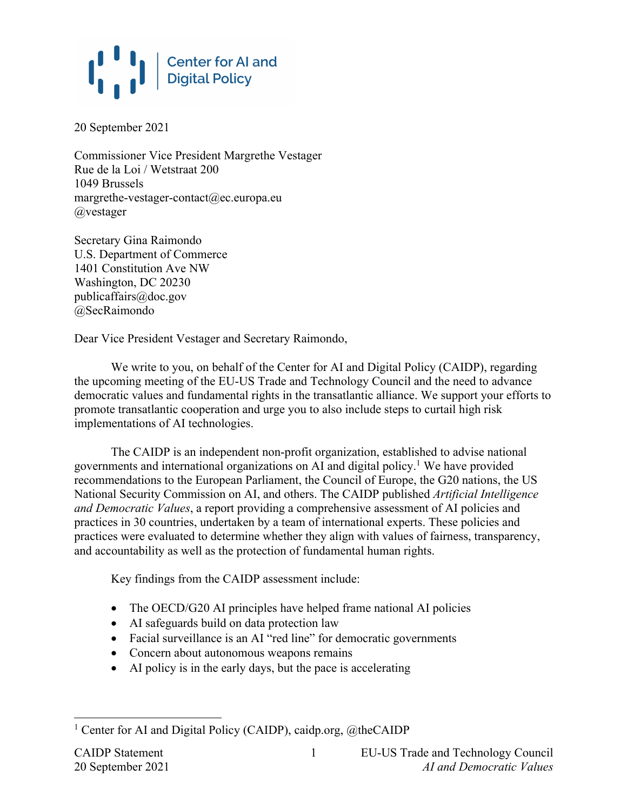## **Center for AI and<br>Digital Policy**

20 September 2021

Commissioner Vice President Margrethe Vestager Rue de la Loi / Wetstraat 200 1049 Brussels margrethe-vestager-contact@ec.europa.eu @vestager

Secretary Gina Raimondo U.S. Department of Commerce 1401 Constitution Ave NW Washington, DC 20230 publicaffairs@doc.gov @SecRaimondo

Dear Vice President Vestager and Secretary Raimondo,

We write to you, on behalf of the Center for AI and Digital Policy (CAIDP), regarding the upcoming meeting of the EU-US Trade and Technology Council and the need to advance democratic values and fundamental rights in the transatlantic alliance. We support your efforts to promote transatlantic cooperation and urge you to also include steps to curtail high risk implementations of AI technologies.

The CAIDP is an independent non-profit organization, established to advise national governments and international organizations on AI and digital policy.1 We have provided recommendations to the European Parliament, the Council of Europe, the G20 nations, the US National Security Commission on AI, and others. The CAIDP published *Artificial Intelligence and Democratic Values*, a report providing a comprehensive assessment of AI policies and practices in 30 countries, undertaken by a team of international experts. These policies and practices were evaluated to determine whether they align with values of fairness, transparency, and accountability as well as the protection of fundamental human rights.

Key findings from the CAIDP assessment include:

- The OECD/G20 AI principles have helped frame national AI policies
- AI safeguards build on data protection law
- Facial surveillance is an AI "red line" for democratic governments
- Concern about autonomous weapons remains
- AI policy is in the early days, but the pace is accelerating

1

<sup>&</sup>lt;sup>1</sup> Center for AI and Digital Policy (CAIDP), caidp.org, @theCAIDP